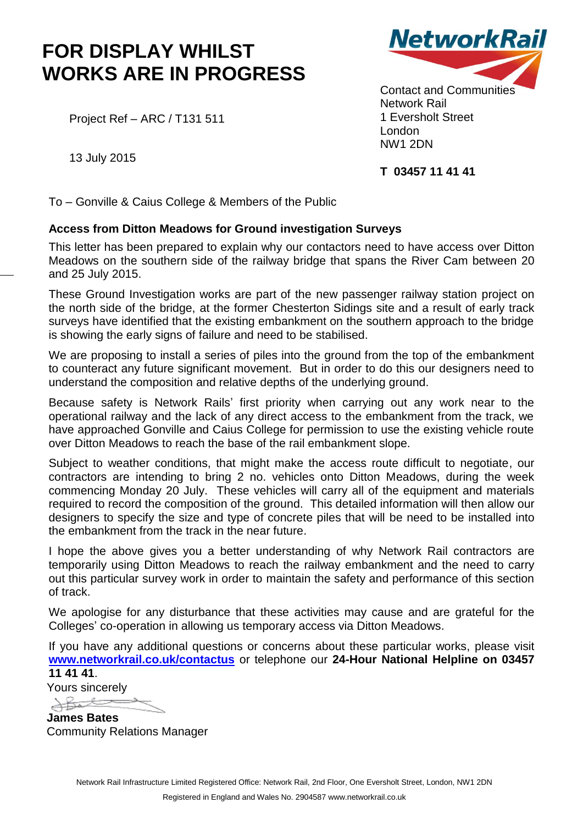## **FOR DISPLAY WHILST WORKS ARE IN PROGRESS**

Project Ref – ARC / T131 511



Contact and Communities Network Rail 1 Eversholt Street London NW1 2DN

## **T 03457 11 41 41**

13 July 2015

To – Gonville & Caius College & Members of the Public

## **Access from Ditton Meadows for Ground investigation Surveys**

This letter has been prepared to explain why our contactors need to have access over Ditton Meadows on the southern side of the railway bridge that spans the River Cam between 20 and 25 July 2015.

These Ground Investigation works are part of the new passenger railway station project on the north side of the bridge, at the former Chesterton Sidings site and a result of early track surveys have identified that the existing embankment on the southern approach to the bridge is showing the early signs of failure and need to be stabilised.

We are proposing to install a series of piles into the ground from the top of the embankment to counteract any future significant movement. But in order to do this our designers need to understand the composition and relative depths of the underlying ground.

Because safety is Network Rails' first priority when carrying out any work near to the operational railway and the lack of any direct access to the embankment from the track, we have approached Gonville and Caius College for permission to use the existing vehicle route over Ditton Meadows to reach the base of the rail embankment slope.

Subject to weather conditions, that might make the access route difficult to negotiate, our contractors are intending to bring 2 no. vehicles onto Ditton Meadows, during the week commencing Monday 20 July. These vehicles will carry all of the equipment and materials required to record the composition of the ground. This detailed information will then allow our designers to specify the size and type of concrete piles that will be need to be installed into the embankment from the track in the near future.

I hope the above gives you a better understanding of why Network Rail contractors are temporarily using Ditton Meadows to reach the railway embankment and the need to carry out this particular survey work in order to maintain the safety and performance of this section of track.

We apologise for any disturbance that these activities may cause and are grateful for the Colleges' co-operation in allowing us temporary access via Ditton Meadows.

If you have any additional questions or concerns about these particular works, please visit **[www.networkrail.co.uk/contactus](http://www.networkrail.co.uk/contactus)** or telephone our **24-Hour National Helpline on 03457 11 41 41**.

Yours sincerely

**James Bates** Community Relations Manager